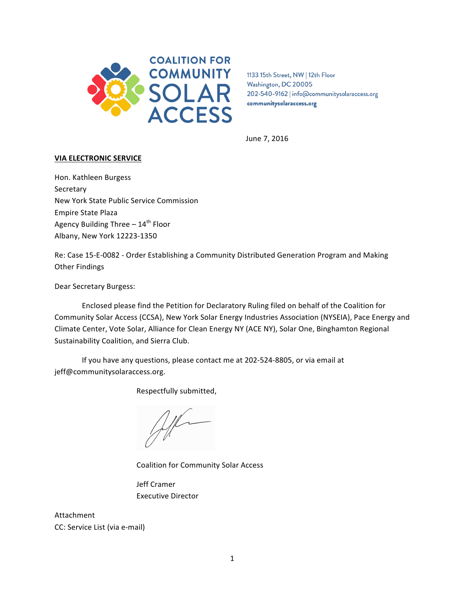

1133 15th Street, NW | 12th Floor Washington, DC 20005 202-540-9162 | info@communitysolaraccess.org communitysolaraccess.org

June 7, 2016

# **VIA ELECTRONIC SERVICE**

Hon. Kathleen Burgess Secretary New York State Public Service Commission Empire State Plaza Agency Building Three  $- 14<sup>th</sup>$  Floor Albany, New York 12223-1350

Re: Case 15-E-0082 - Order Establishing a Community Distributed Generation Program and Making **Other Findings** 

Dear Secretary Burgess:

Enclosed please find the Petition for Declaratory Ruling filed on behalf of the Coalition for Community Solar Access (CCSA), New York Solar Energy Industries Association (NYSEIA), Pace Energy and Climate Center, Vote Solar, Alliance for Clean Energy NY (ACE NY), Solar One, Binghamton Regional Sustainability Coalition, and Sierra Club.

If you have any questions, please contact me at 202-524-8805, or via email at jeff@communitysolaraccess.org.

Respectfully submitted,

Alle

Coalition for Community Solar Access

Jeff Cramer Executive Director 

Attachment CC: Service List (via e-mail)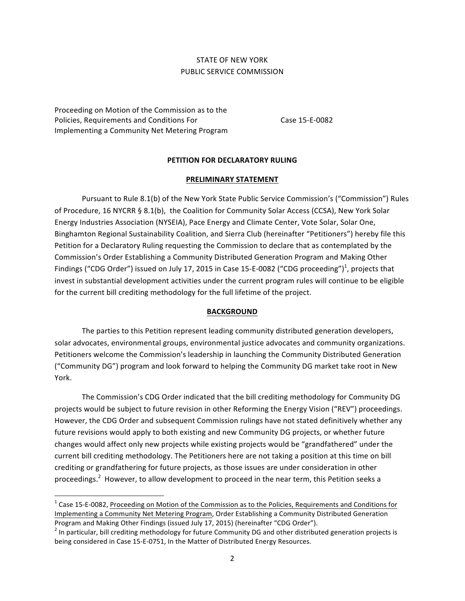# STATE OF NEW YORK PUBLIC SERVICE COMMISSION

Proceeding on Motion of the Commission as to the Policies, Requirements and Conditions For Implementing a Community Net Metering Program

<u> 1989 - Johann Stein, fransk politiker (d. 1989)</u>

Case 15-E-0082

### **PETITION FOR DECLARATORY RULING**

### **PRELIMINARY STATEMENT**

Pursuant to Rule 8.1(b) of the New York State Public Service Commission's ("Commission") Rules of Procedure, 16 NYCRR § 8.1(b), the Coalition for Community Solar Access (CCSA), New York Solar Energy Industries Association (NYSEIA), Pace Energy and Climate Center, Vote Solar, Solar One, Binghamton Regional Sustainability Coalition, and Sierra Club (hereinafter "Petitioners") hereby file this Petition for a Declaratory Ruling requesting the Commission to declare that as contemplated by the Commission's Order Establishing a Community Distributed Generation Program and Making Other Findings ("CDG Order") issued on July 17, 2015 in Case 15-E-0082 ("CDG proceeding")<sup>1</sup>, projects that invest in substantial development activities under the current program rules will continue to be eligible for the current bill crediting methodology for the full lifetime of the project.

#### **BACKGROUND**

The parties to this Petition represent leading community distributed generation developers, solar advocates, environmental groups, environmental justice advocates and community organizations. Petitioners welcome the Commission's leadership in launching the Community Distributed Generation ("Community DG") program and look forward to helping the Community DG market take root in New York.

The Commission's CDG Order indicated that the bill crediting methodology for Community DG projects would be subject to future revision in other Reforming the Energy Vision ("REV") proceedings. However, the CDG Order and subsequent Commission rulings have not stated definitively whether any future revisions would apply to both existing and new Community DG projects, or whether future changes would affect only new projects while existing projects would be "grandfathered" under the current bill crediting methodology. The Petitioners here are not taking a position at this time on bill crediting or grandfathering for future projects, as those issues are under consideration in other proceedings.<sup>2</sup> However, to allow development to proceed in the near term, this Petition seeks a

 $1$  Case 15-E-0082, Proceeding on Motion of the Commission as to the Policies, Requirements and Conditions for Implementing a Community Net Metering Program, Order Establishing a Community Distributed Generation Program and Making Other Findings (issued July 17, 2015) (hereinafter "CDG Order").<br>
<sup>2</sup> In particular, bill crediting methodology for future Community DG and other distributed generation projects is

being considered in Case 15-E-0751, In the Matter of Distributed Energy Resources.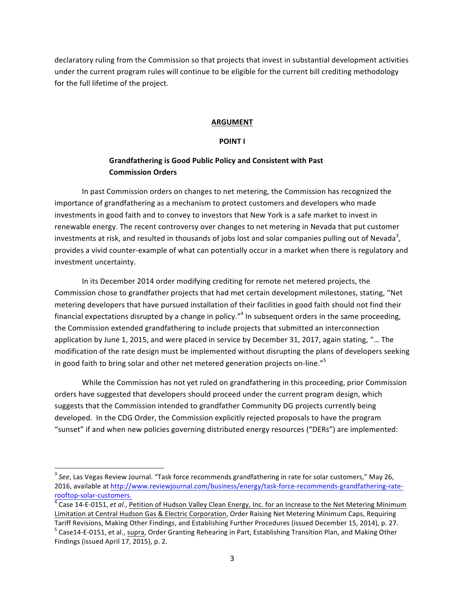declaratory ruling from the Commission so that projects that invest in substantial development activities under the current program rules will continue to be eligible for the current bill crediting methodology for the full lifetime of the project.

## **ARGUMENT**

# **POINT I**

# **Grandfathering is Good Public Policy and Consistent with Past Commission Orders**

In past Commission orders on changes to net metering, the Commission has recognized the importance of grandfathering as a mechanism to protect customers and developers who made investments in good faith and to convey to investors that New York is a safe market to invest in renewable energy. The recent controversy over changes to net metering in Nevada that put customer investments at risk, and resulted in thousands of jobs lost and solar companies pulling out of Nevada<sup>3</sup>, provides a vivid counter-example of what can potentially occur in a market when there is regulatory and investment uncertainty.

In its December 2014 order modifying crediting for remote net metered projects, the Commission chose to grandfather projects that had met certain development milestones, stating, "Net metering developers that have pursued installation of their facilities in good faith should not find their financial expectations disrupted by a change in policy."<sup>4</sup> In subsequent orders in the same proceeding, the Commission extended grandfathering to include projects that submitted an interconnection application by June 1, 2015, and were placed in service by December 31, 2017, again stating, "... The modification of the rate design must be implemented without disrupting the plans of developers seeking in good faith to bring solar and other net metered generation projects on-line."<sup>5</sup>

While the Commission has not yet ruled on grandfathering in this proceeding, prior Commission orders have suggested that developers should proceed under the current program design, which suggests that the Commission intended to grandfather Community DG projects currently being developed. In the CDG Order, the Commission explicitly rejected proposals to have the program "sunset" if and when new policies governing distributed energy resources ("DERs") are implemented:

<u> 1989 - Johann Stein, fransk politiker (d. 1989)</u>

<sup>&</sup>lt;sup>3</sup> See, Las Vegas Review Journal. "Task force recommends grandfathering in rate for solar customers," May 26, 2016, available at http://www.reviewjournal.com/business/energy/task-force-recommends-grandfathering-raterooftop-solar-customers.<br><sup>4</sup> Case 14-E-0151, *et al.*, Petition of Hudson Valley Clean Energy, Inc. for an Increase to the Net Metering Minimum

Limitation at Central Hudson Gas & Electric Corporation, Order Raising Net Metering Minimum Caps, Requiring

Tariff Revisions, Making Other Findings, and Establishing Further Procedures (issued December 15, 2014), p. 27.  $^5$  Case14-E-0151, et al., supra, Order Granting Rehearing in Part, Establishing Transition Plan, and Making Findings (issued April 17, 2015), p. 2.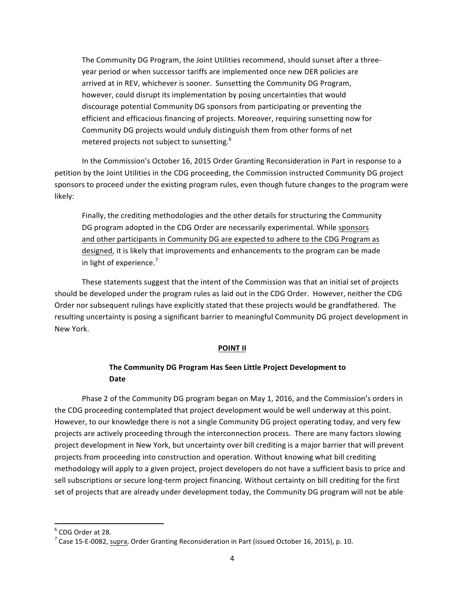The Community DG Program, the Joint Utilities recommend, should sunset after a threeyear period or when successor tariffs are implemented once new DER policies are arrived at in REV, whichever is sooner. Sunsetting the Community DG Program, however, could disrupt its implementation by posing uncertainties that would discourage potential Community DG sponsors from participating or preventing the efficient and efficacious financing of projects. Moreover, requiring sunsetting now for Community DG projects would unduly distinguish them from other forms of net metered projects not subject to sunsetting.<sup>6</sup>

In the Commission's October 16, 2015 Order Granting Reconsideration in Part in response to a petition by the Joint Utilities in the CDG proceeding, the Commission instructed Community DG project sponsors to proceed under the existing program rules, even though future changes to the program were likely:

Finally, the crediting methodologies and the other details for structuring the Community DG program adopted in the CDG Order are necessarily experimental. While sponsors and other participants in Community DG are expected to adhere to the CDG Program as designed, it is likely that improvements and enhancements to the program can be made in light of experience. $7$ 

These statements suggest that the intent of the Commission was that an initial set of projects should be developed under the program rules as laid out in the CDG Order. However, neither the CDG Order nor subsequent rulings have explicitly stated that these projects would be grandfathered. The resulting uncertainty is posing a significant barrier to meaningful Community DG project development in New York.

### **POINT II**

# The Community DG Program Has Seen Little Project Development to **Date**

Phase 2 of the Community DG program began on May 1, 2016, and the Commission's orders in the CDG proceeding contemplated that project development would be well underway at this point. However, to our knowledge there is not a single Community DG project operating today, and very few projects are actively proceeding through the interconnection process. There are many factors slowing project development in New York, but uncertainty over bill crediting is a major barrier that will prevent projects from proceeding into construction and operation. Without knowing what bill crediting methodology will apply to a given project, project developers do not have a sufficient basis to price and sell subscriptions or secure long-term project financing. Without certainty on bill crediting for the first set of projects that are already under development today, the Community DG program will not be able

<u> 1989 - Johann Stein, fransk politiker (d. 1989)</u>

 $^6$  CDG Order at 28.<br><sup>7</sup> Case 15-E-0082, supra, Order Granting Reconsideration in Part (issued October 16, 2015), p. 10.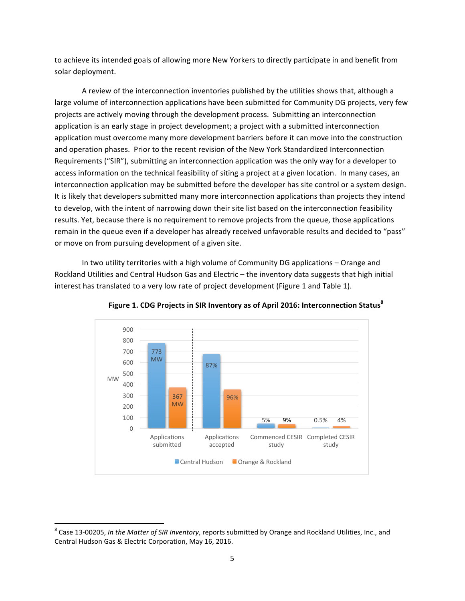to achieve its intended goals of allowing more New Yorkers to directly participate in and benefit from solar deployment.

A review of the interconnection inventories published by the utilities shows that, although a large volume of interconnection applications have been submitted for Community DG projects, very few projects are actively moving through the development process. Submitting an interconnection application is an early stage in project development; a project with a submitted interconnection application must overcome many more development barriers before it can move into the construction and operation phases. Prior to the recent revision of the New York Standardized Interconnection Requirements ("SIR"), submitting an interconnection application was the only way for a developer to access information on the technical feasibility of siting a project at a given location. In many cases, an interconnection application may be submitted before the developer has site control or a system design. It is likely that developers submitted many more interconnection applications than projects they intend to develop, with the intent of narrowing down their site list based on the interconnection feasibility results. Yet, because there is no requirement to remove projects from the queue, those applications remain in the queue even if a developer has already received unfavorable results and decided to "pass" or move on from pursuing development of a given site.

In two utility territories with a high volume of Community DG applications - Orange and Rockland Utilities and Central Hudson Gas and Electric – the inventory data suggests that high initial interest has translated to a very low rate of project development (Figure 1 and Table 1).



**Figure** 1. CDG Projects in SIR Inventory as of April 2016: Interconnection Status<sup>8</sup>

<u> 1989 - Johann Stein, fransk politiker (d. 1989)</u>

<sup>&</sup>lt;sup>8</sup> Case 13-00205, *In the Matter of SIR Inventory*, reports submitted by Orange and Rockland Utilities, Inc., and Central Hudson Gas & Electric Corporation, May 16, 2016.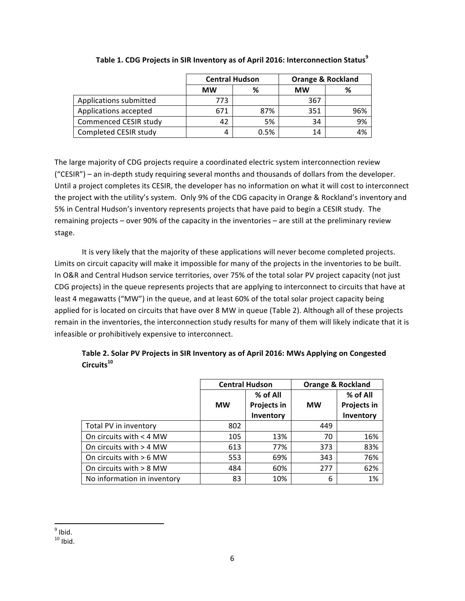|                        | <b>Central Hudson</b> |      | <b>Orange &amp; Rockland</b> |     |
|------------------------|-----------------------|------|------------------------------|-----|
|                        | <b>MW</b>             | %    | <b>MW</b>                    |     |
| Applications submitted | 773                   |      | 367                          |     |
| Applications accepted  | 671                   | 87%  | 351                          | 96% |
| Commenced CESIR study  | 42                    | 5%   | 34                           | 9%  |
| Completed CESIR study  | 4                     | 0.5% | 14                           | 4%  |

**Table 1. CDG Projects in SIR Inventory as of April 2016: Interconnection Status<sup>9</sup>** 

The large majority of CDG projects require a coordinated electric system interconnection review  $("CESIR")$  – an in-depth study requiring several months and thousands of dollars from the developer. Until a project completes its CESIR, the developer has no information on what it will cost to interconnect the project with the utility's system. Only 9% of the CDG capacity in Orange & Rockland's inventory and 5% in Central Hudson's inventory represents projects that have paid to begin a CESIR study. The remaining projects – over 90% of the capacity in the inventories – are still at the preliminary review stage. 

It is very likely that the majority of these applications will never become completed projects. Limits on circuit capacity will make it impossible for many of the projects in the inventories to be built. In O&R and Central Hudson service territories, over 75% of the total solar PV project capacity (not just CDG projects) in the queue represents projects that are applying to interconnect to circuits that have at least 4 megawatts ("MW") in the queue, and at least 60% of the total solar project capacity being applied for is located on circuits that have over 8 MW in queue (Table 2). Although all of these projects remain in the inventories, the interconnection study results for many of them will likely indicate that it is infeasible or prohibitively expensive to interconnect.

| Table 2. Solar PV Projects in SIR Inventory as of April 2016: MWs Applying on Congested |
|-----------------------------------------------------------------------------------------|
| Circuits <sup>10</sup>                                                                  |

|                             | <b>Central Hudson</b> |             | <b>Orange &amp; Rockland</b> |             |
|-----------------------------|-----------------------|-------------|------------------------------|-------------|
|                             |                       | % of All    |                              | % of All    |
|                             | <b>MW</b>             | Projects in | <b>MW</b>                    | Projects in |
|                             |                       | Inventory   |                              | Inventory   |
| Total PV in inventory       | 802                   |             | 449                          |             |
| On circuits with < 4 MW     | 105                   | 13%         | 70                           | 16%         |
| On circuits with > 4 MW     | 613                   | 77%         | 373                          | 83%         |
| On circuits with $> 6$ MW   | 553                   | 69%         | 343                          | 76%         |
| On circuits with $> 8$ MW   | 484                   | 60%         | 277                          | 62%         |
| No information in inventory | 83                    | 10%         | 6                            | 1%          |

<sup>&</sup>lt;u> 1989 - Johann Stein, fransk politiker (d. 1989)</u>  $9$  Ibid.

 $10$  Ibid.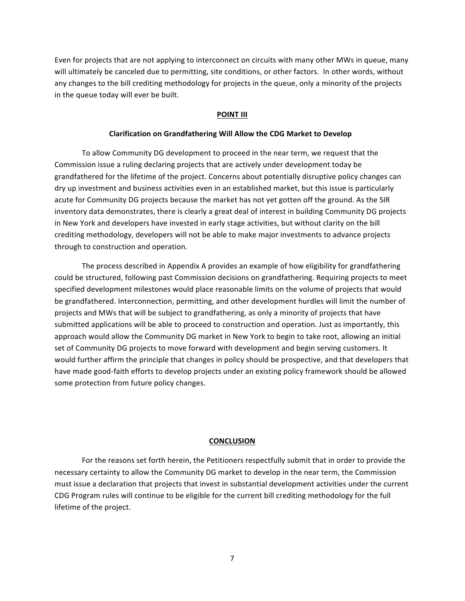Even for projects that are not applying to interconnect on circuits with many other MWs in queue, many will ultimately be canceled due to permitting, site conditions, or other factors. In other words, without any changes to the bill crediting methodology for projects in the queue, only a minority of the projects in the queue today will ever be built.

### **POINT III**

### **Clarification on Grandfathering Will Allow the CDG Market to Develop**

To allow Community DG development to proceed in the near term, we request that the Commission issue a ruling declaring projects that are actively under development today be grandfathered for the lifetime of the project. Concerns about potentially disruptive policy changes can dry up investment and business activities even in an established market, but this issue is particularly acute for Community DG projects because the market has not yet gotten off the ground. As the SIR inventory data demonstrates, there is clearly a great deal of interest in building Community DG projects in New York and developers have invested in early stage activities, but without clarity on the bill crediting methodology, developers will not be able to make major investments to advance projects through to construction and operation.

The process described in Appendix A provides an example of how eligibility for grandfathering could be structured, following past Commission decisions on grandfathering. Requiring projects to meet specified development milestones would place reasonable limits on the volume of projects that would be grandfathered. Interconnection, permitting, and other development hurdles will limit the number of projects and MWs that will be subject to grandfathering, as only a minority of projects that have submitted applications will be able to proceed to construction and operation. Just as importantly, this approach would allow the Community DG market in New York to begin to take root, allowing an initial set of Community DG projects to move forward with development and begin serving customers. It would further affirm the principle that changes in policy should be prospective, and that developers that have made good-faith efforts to develop projects under an existing policy framework should be allowed some protection from future policy changes.

#### **CONCLUSION**

For the reasons set forth herein, the Petitioners respectfully submit that in order to provide the necessary certainty to allow the Community DG market to develop in the near term, the Commission must issue a declaration that projects that invest in substantial development activities under the current CDG Program rules will continue to be eligible for the current bill crediting methodology for the full lifetime of the project.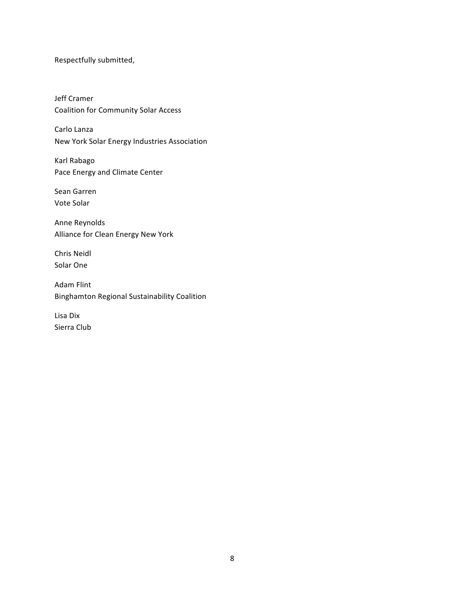Respectfully submitted,

Jeff Cramer Coalition for Community Solar Access

Carlo Lanza New York Solar Energy Industries Association

Karl Rabago Pace Energy and Climate Center

Sean Garren Vote Solar

Anne Reynolds Alliance for Clean Energy New York

Chris Neidl Solar One

Adam Flint Binghamton Regional Sustainability Coalition

Lisa Dix Sierra Club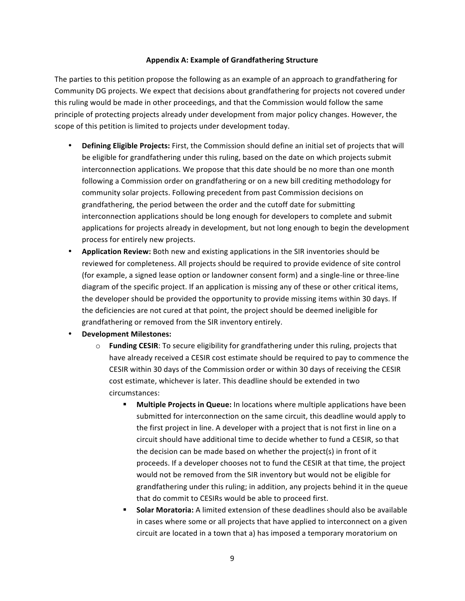# Appendix A: Example of Grandfathering Structure

The parties to this petition propose the following as an example of an approach to grandfathering for Community DG projects. We expect that decisions about grandfathering for projects not covered under this ruling would be made in other proceedings, and that the Commission would follow the same principle of protecting projects already under development from major policy changes. However, the scope of this petition is limited to projects under development today.

- **Defining Eligible Projects:** First, the Commission should define an initial set of projects that will be eligible for grandfathering under this ruling, based on the date on which projects submit interconnection applications. We propose that this date should be no more than one month following a Commission order on grandfathering or on a new bill crediting methodology for community solar projects. Following precedent from past Commission decisions on grandfathering, the period between the order and the cutoff date for submitting interconnection applications should be long enough for developers to complete and submit applications for projects already in development, but not long enough to begin the development process for entirely new projects.
- **Application Review:** Both new and existing applications in the SIR inventories should be reviewed for completeness. All projects should be required to provide evidence of site control (for example, a signed lease option or landowner consent form) and a single-line or three-line diagram of the specific project. If an application is missing any of these or other critical items, the developer should be provided the opportunity to provide missing items within 30 days. If the deficiencies are not cured at that point, the project should be deemed ineligible for grandfathering or removed from the SIR inventory entirely.
- **Development Milestones:** 
	- $\circ$  **Funding CESIR**: To secure eligibility for grandfathering under this ruling, projects that have already received a CESIR cost estimate should be required to pay to commence the CESIR within 30 days of the Commission order or within 30 days of receiving the CESIR cost estimate, whichever is later. This deadline should be extended in two circumstances:
		- **Multiple Projects in Queue:** In locations where multiple applications have been submitted for interconnection on the same circuit, this deadline would apply to the first project in line. A developer with a project that is not first in line on a circuit should have additional time to decide whether to fund a CESIR, so that the decision can be made based on whether the project(s) in front of it proceeds. If a developer chooses not to fund the CESIR at that time, the project would not be removed from the SIR inventory but would not be eligible for grandfathering under this ruling; in addition, any projects behind it in the queue that do commit to CESIRs would be able to proceed first.
		- **Solar Moratoria:** A limited extension of these deadlines should also be available in cases where some or all projects that have applied to interconnect on a given circuit are located in a town that a) has imposed a temporary moratorium on